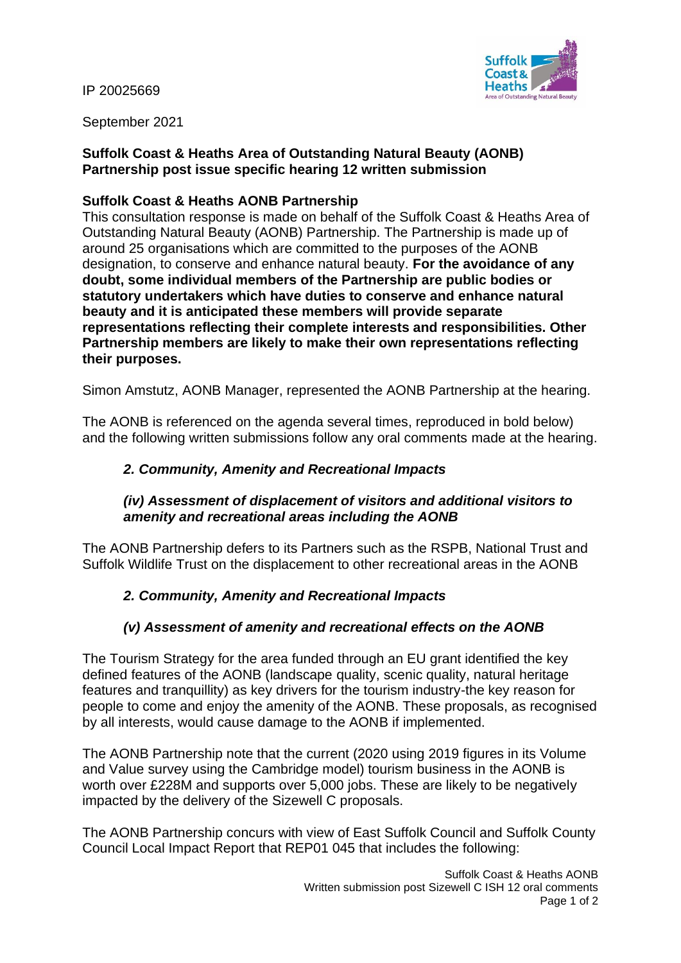IP 20025669



September 2021

# **Suffolk Coast & Heaths Area of Outstanding Natural Beauty (AONB) Partnership post issue specific hearing 12 written submission**

# **Suffolk Coast & Heaths AONB Partnership**

This consultation response is made on behalf of the Suffolk Coast & Heaths Area of Outstanding Natural Beauty (AONB) Partnership. The Partnership is made up of around 25 organisations which are committed to the purposes of the AONB designation, to conserve and enhance natural beauty. **For the avoidance of any doubt, some individual members of the Partnership are public bodies or statutory undertakers which have duties to conserve and enhance natural beauty and it is anticipated these members will provide separate representations reflecting their complete interests and responsibilities. Other Partnership members are likely to make their own representations reflecting their purposes.**

Simon Amstutz, AONB Manager, represented the AONB Partnership at the hearing.

The AONB is referenced on the agenda several times, reproduced in bold below) and the following written submissions follow any oral comments made at the hearing.

# *2. Community, Amenity and Recreational Impacts*

### *(iv) Assessment of displacement of visitors and additional visitors to amenity and recreational areas including the AONB*

The AONB Partnership defers to its Partners such as the RSPB, National Trust and Suffolk Wildlife Trust on the displacement to other recreational areas in the AONB

# *2. Community, Amenity and Recreational Impacts*

# *(v) Assessment of amenity and recreational effects on the AONB*

The Tourism Strategy for the area funded through an EU grant identified the key defined features of the AONB (landscape quality, scenic quality, natural heritage features and tranquillity) as key drivers for the tourism industry-the key reason for people to come and enjoy the amenity of the AONB. These proposals, as recognised by all interests, would cause damage to the AONB if implemented.

The AONB Partnership note that the current (2020 using 2019 figures in its Volume and Value survey using the Cambridge model) tourism business in the AONB is worth over £228M and supports over 5,000 jobs. These are likely to be negatively impacted by the delivery of the Sizewell C proposals.

The AONB Partnership concurs with view of East Suffolk Council and Suffolk County Council Local Impact Report that REP01 045 that includes the following: